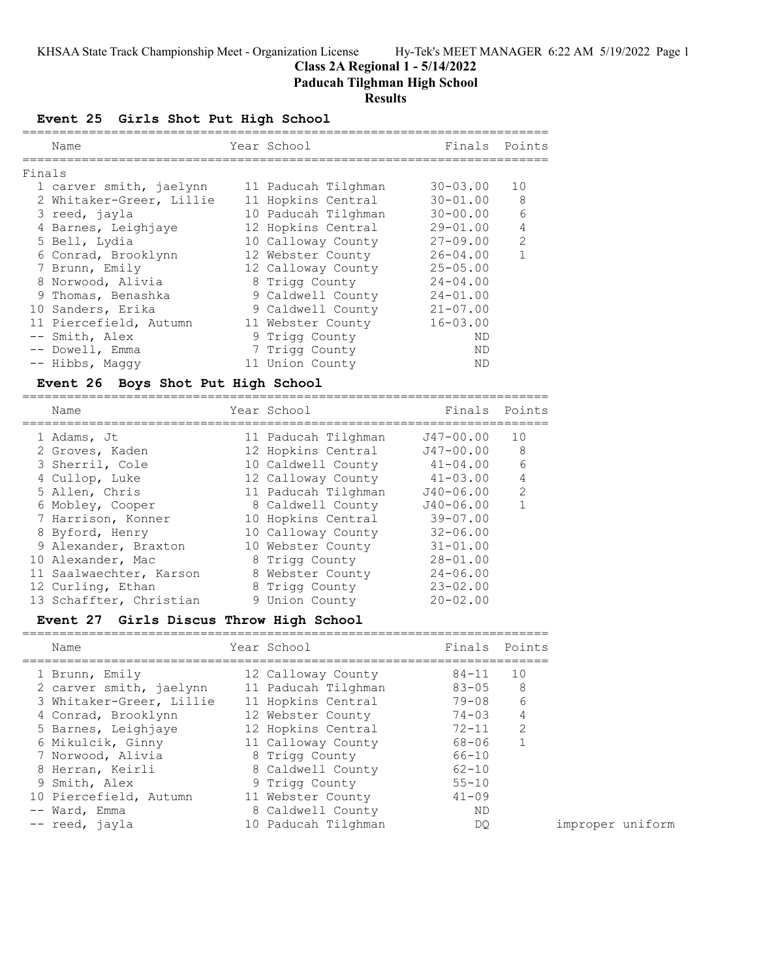## **Class 2A Regional 1 - 5/14/2022**

**Paducah Tilghman High School**

## **Results**

**Event 25 Girls Shot Put High School**

| Name                                                                                                                                                                                                                                                                                                                  | Year School                                                                                                                                                                                                                                                                  | Finals                                                                                                                                                                                                                   | Points                                 |
|-----------------------------------------------------------------------------------------------------------------------------------------------------------------------------------------------------------------------------------------------------------------------------------------------------------------------|------------------------------------------------------------------------------------------------------------------------------------------------------------------------------------------------------------------------------------------------------------------------------|--------------------------------------------------------------------------------------------------------------------------------------------------------------------------------------------------------------------------|----------------------------------------|
| Finals<br>1 carver smith, jaelynn<br>2 Whitaker-Greer, Lillie<br>3 reed, jayla<br>4 Barnes, Leighjaye<br>5 Bell, Lydia<br>6 Conrad, Brooklynn<br>7 Brunn, Emily<br>8 Norwood, Alivia<br>9 Thomas, Benashka<br>10 Sanders, Erika<br>11 Piercefield, Autumn<br>-- Smith, Alex<br>-- Dowell, Emma                        | 11 Paducah Tilghman<br>11 Hopkins Central<br>10 Paducah Tilghman<br>12 Hopkins Central<br>10 Calloway County<br>12 Webster County<br>12 Calloway County<br>8 Trigg County<br>9 Caldwell County<br>9 Caldwell County<br>11 Webster County<br>9 Trigg County<br>7 Trigg County | $30 - 03.00$<br>$30 - 01.00$<br>$30 - 00.00$<br>$29 - 01.00$<br>$27 - 09.00$<br>$26 - 04.00$<br>$25 - 05.00$<br>$24 - 04.00$<br>$24 - 01.00$<br>$21 - 07.00$<br>$16 - 03.00$<br>ΝD<br>ND                                 | 10<br>8<br>6<br>4<br>2<br>$\mathbf 1$  |
| -- Hibbs, Maggy<br><b>Event 26</b><br>Boys Shot Put High School                                                                                                                                                                                                                                                       | 11 Union County                                                                                                                                                                                                                                                              | ΝD                                                                                                                                                                                                                       |                                        |
| Name                                                                                                                                                                                                                                                                                                                  | Year School                                                                                                                                                                                                                                                                  | Finals                                                                                                                                                                                                                   | Points                                 |
| 1 Adams, Jt<br>2 Groves, Kaden<br>3 Sherril, Cole<br>4 Cullop, Luke<br>5 Allen, Chris<br>6 Mobley, Cooper<br>7 Harrison, Konner<br>8 Byford, Henry<br>9 Alexander, Braxton<br>10 Alexander, Mac<br>11 Saalwaechter, Karson<br>12 Curling, Ethan<br>13 Schaffter, Christian<br>Event 27 Girls Discus Throw High School | 11 Paducah Tilghman<br>12 Hopkins Central<br>10 Caldwell County<br>12 Calloway County<br>11 Paducah Tilghman<br>8 Caldwell County<br>10 Hopkins Central<br>10 Calloway County<br>10 Webster County<br>8 Trigg County<br>8 Webster County<br>8 Trigg County<br>9 Union County | ============<br>J47-00.00<br>$J47 - 00.00$<br>$41 - 04.00$<br>$41 - 03.00$<br>J40-06.00<br>$J40 - 06.00$<br>$39 - 07.00$<br>$32 - 06.00$<br>$31 - 01.00$<br>$28 - 01.00$<br>$24 - 06.00$<br>$23 - 02.00$<br>$20 - 02.00$ | 10<br>8<br>6<br>4<br>2<br>$\mathbf{1}$ |
| Name                                                                                                                                                                                                                                                                                                                  | Year School                                                                                                                                                                                                                                                                  | Finals                                                                                                                                                                                                                   | Points                                 |
| 1 Brunn, Emily<br>2 carver smith, jaelynn<br>3 Whitaker-Greer, Lillie<br>4 Conrad, Brooklynn<br>5 Barnes, Leighiave                                                                                                                                                                                                   | 12 Calloway County<br>11 Paducah Tilghman<br>11 Hopkins Central<br>12 Webster County<br>12 Honkins Central                                                                                                                                                                   | 84-11<br>$83 - 05$<br>$79 - 08$<br>$74 - 03$<br>$72 - 11$                                                                                                                                                                | 10<br>8<br>6<br>4<br>$\mathcal{P}$     |

| 5 Barnes, Leighjaye    | 12 Hopkins Central  | 72-11     |                  |  |
|------------------------|---------------------|-----------|------------------|--|
| 6 Mikulcik, Ginny      | 11 Calloway County  | 68-06     |                  |  |
| 7 Norwood, Alivia      | 8 Trigg County      | 66-10     |                  |  |
| 8 Herran, Keirli       | 8 Caldwell County   | $62 - 10$ |                  |  |
| 9 Smith, Alex          | 9 Trigg County      | $55 - 10$ |                  |  |
| 10 Piercefield, Autumn | 11 Webster County   | $41 - 09$ |                  |  |
| -- Ward, Emma          | 8 Caldwell County   | ND        |                  |  |
| -- reed, jayla         | 10 Paducah Tilghman | DO.       | improper uniform |  |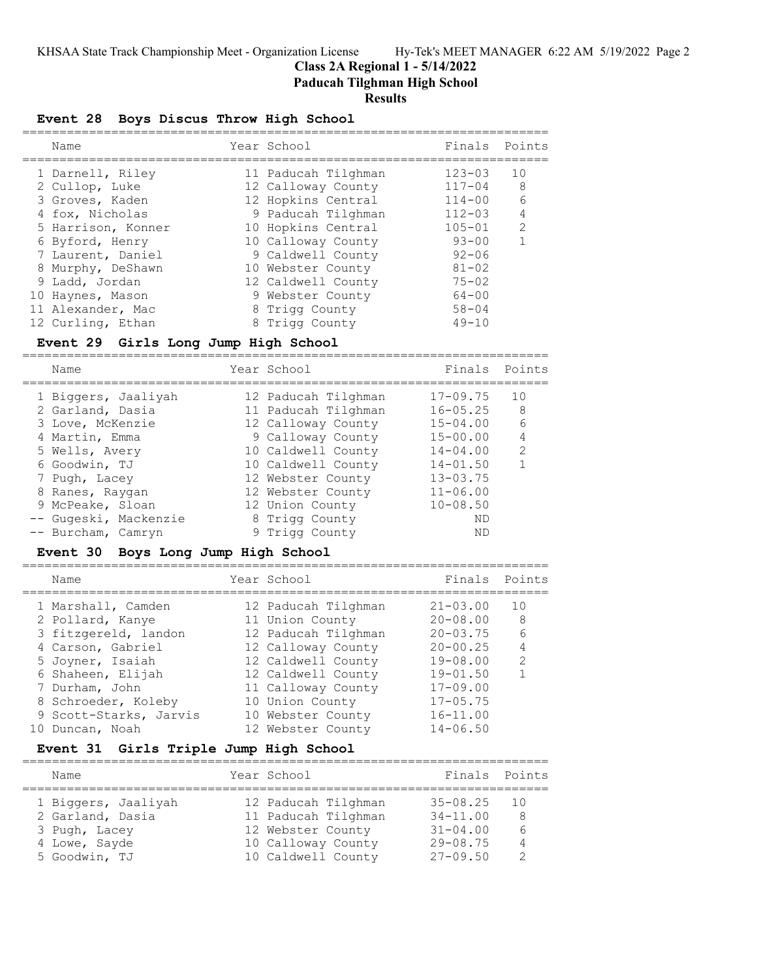**Class 2A Regional 1 - 5/14/2022**

**Paducah Tilghman High School**

#### **Results**

## **Event 28 Boys Discus Throw High School**

| Name               | Year School         | Finals     | Points         |
|--------------------|---------------------|------------|----------------|
| 1 Darnell, Riley   | 11 Paducah Tilghman | $123 - 03$ | 10             |
| 2 Cullop, Luke     | 12 Calloway County  | $117 - 04$ | - 8            |
| 3 Groves, Kaden    | 12 Hopkins Central  | $114 - 00$ | 6              |
| 4 fox, Nicholas    | 9 Paducah Tilghman  | $112 - 03$ | $\overline{4}$ |
| 5 Harrison, Konner | 10 Hopkins Central  | $105 - 01$ | $\mathcal{L}$  |
| 6 Byford, Henry    | 10 Calloway County  | $93 - 00$  |                |
| 7 Laurent, Daniel  | 9 Caldwell County   | $92 - 06$  |                |
| 8 Murphy, DeShawn  | 10 Webster County   | $81 - 02$  |                |
| 9 Ladd, Jordan     | 12 Caldwell County  | $75 - 02$  |                |
| 10 Haynes, Mason   | 9 Webster County    | $64 - 00$  |                |
| 11 Alexander, Mac  | 8 Trigg County      | $58 - 04$  |                |
| 12 Curling, Ethan  | 8 Trigg County      | $49 - 10$  |                |

#### **Event 29 Girls Long Jump High School**

=======================================================================

| Name |                       | Year School         | Finals       | Points        |
|------|-----------------------|---------------------|--------------|---------------|
|      | 1 Biggers, Jaaliyah   | 12 Paducah Tilghman | $17 - 09.75$ | 10            |
|      | 2 Garland, Dasia      | 11 Paducah Tilghman | $16 - 05.25$ | 8             |
|      | 3 Love, McKenzie      | 12 Calloway County  | $15 - 04.00$ | 6             |
|      | 4 Martin, Emma        | 9 Calloway County   | $15 - 00.00$ |               |
|      | 5 Wells, Avery        | 10 Caldwell County  | $14 - 04.00$ | $\mathcal{L}$ |
|      | 6 Goodwin, TJ         | 10 Caldwell County  | $14 - 01.50$ |               |
|      | 7 Pugh, Lacey         | 12 Webster County   | $13 - 03.75$ |               |
|      | 8 Ranes, Raygan       | 12 Webster County   | $11 - 06.00$ |               |
|      | 9 McPeake, Sloan      | 12 Union County     | $10 - 08.50$ |               |
|      | -- Gugeski, Mackenzie | 8 Trigg County      | ND           |               |
|      | -- Burcham, Camryn    | 9 Trigg County      | ND           |               |

### **Event 30 Boys Long Jump High School**

=======================================================================

| Name                   | Year School         | Finals Points |                |
|------------------------|---------------------|---------------|----------------|
| 1 Marshall, Camden     | 12 Paducah Tilghman | $21 - 03.00$  | 10             |
| 2 Pollard, Kanye       | 11 Union County     | $20 - 08.00$  | 8              |
| 3 fitzgereld, landon   | 12 Paducah Tilghman | $20 - 03.75$  | 6              |
| 4 Carson, Gabriel      | 12 Calloway County  | $20 - 00.25$  | $\overline{4}$ |
| 5 Joyner, Isaiah       | 12 Caldwell County  | $19 - 08.00$  | $\mathcal{L}$  |
| 6 Shaheen, Elijah      | 12 Caldwell County  | $19 - 01.50$  |                |
| 7 Durham, John         | 11 Calloway County  | $17 - 09.00$  |                |
| 8 Schroeder, Koleby    | 10 Union County     | $17 - 05.75$  |                |
| 9 Scott-Starks, Jarvis | 10 Webster County   | $16 - 11.00$  |                |
| 10 Duncan, Noah        | 12 Webster County   | $14 - 06.50$  |                |

## **Event 31 Girls Triple Jump High School**

| Name                | Year School         | Finals       | Points |
|---------------------|---------------------|--------------|--------|
| 1 Biggers, Jaaliyah | 12 Paducah Tilghman | $35 - 08.25$ | - 1 O  |
| 2 Garland, Dasia    | 11 Paducah Tilghman | $34 - 11.00$ | -8     |
| 3 Pugh, Lacey       | 12 Webster County   | $31 - 04.00$ | 6      |
| 4 Lowe, Sayde       | 10 Calloway County  | $29 - 08.75$ | 4      |
| 5 Goodwin, TJ       | 10 Caldwell County  | $27 - 09.50$ |        |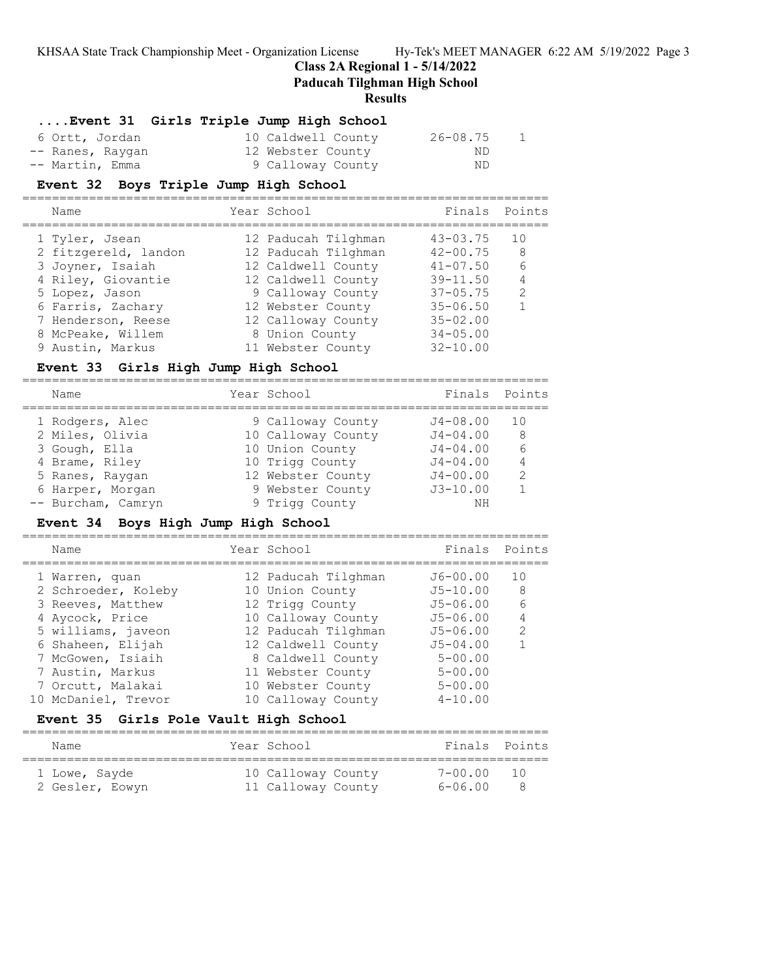**Class 2A Regional 1 - 5/14/2022**

**Paducah Tilghman High School**

#### **Results**

### **....Event 31 Girls Triple Jump High School**

| 6 Ortt, Jordan   | 10 Caldwell County | 26-08.75<br>1 |
|------------------|--------------------|---------------|
| -- Ranes, Raygan | 12 Webster County  | ND.           |
| -- Martin, Emma  | 9 Calloway County  | ND.           |

#### **Event 32 Boys Triple Jump High School**

=======================================================================

| Name                 | Year School         | Finals Points |               |
|----------------------|---------------------|---------------|---------------|
| 1 Tyler, Jsean       | 12 Paducah Tilghman | $43 - 03.75$  | 10            |
| 2 fitzgereld, landon | 12 Paducah Tilghman | $42 - 00.75$  | 8             |
| 3 Joyner, Isaiah     | 12 Caldwell County  | $41 - 07.50$  | 6             |
| 4 Riley, Giovantie   | 12 Caldwell County  | $39 - 11.50$  | 4             |
| 5 Lopez, Jason       | 9 Calloway County   | $37 - 05.75$  | $\mathcal{L}$ |
| 6 Farris, Zachary    | 12 Webster County   | $35 - 06.50$  |               |
| 7 Henderson, Reese   | 12 Calloway County  | $35 - 02.00$  |               |
| 8 McPeake, Willem    | 8 Union County      | $34 - 05.00$  |               |
| 9 Austin, Markus     | 11 Webster County   | $32 - 10.00$  |               |
|                      |                     |               |               |

### **Event 33 Girls High Jump High School**

| Name               | Year School        | Finals       | Points        |
|--------------------|--------------------|--------------|---------------|
| 1 Rodgers, Alec    | 9 Calloway County  | $J4 - 08.00$ | 1 O           |
| 2 Miles, Olivia    | 10 Calloway County | $J4 - 04.00$ | 8             |
| 3 Gough, Ella      | 10 Union County    | $J4 - 04.00$ |               |
| 4 Brame, Riley     | 10 Trigg County    | $J4 - 04.00$ | 4             |
| 5 Ranes, Raygan    | 12 Webster County  | $J4 - 00.00$ | $\mathcal{P}$ |
| 6 Harper, Morgan   | 9 Webster County   | $J3 - 10.00$ |               |
| -- Burcham, Camryn | 9 Trigg County     | NΗ           |               |

### **Event 34 Boys High Jump High School**

=======================================================================

| Name                | Year School         | Finals Points |                 |
|---------------------|---------------------|---------------|-----------------|
| 1 Warren, quan      | 12 Paducah Tilghman | $J6 - 00.00$  | 1 O             |
|                     |                     |               |                 |
| 2 Schroeder, Koleby | 10 Union County     | $J5 - 10.00$  | - 8             |
| 3 Reeves, Matthew   | 12 Trigg County     | $J5 - 06.00$  | $6\overline{6}$ |
| 4 Aycock, Price     | 10 Calloway County  | $J5 - 06.00$  |                 |
| 5 williams, javeon  | 12 Paducah Tilghman | $J5 - 06.00$  | $\mathcal{L}$   |
| 6 Shaheen, Elijah   | 12 Caldwell County  | $J5 - 04.00$  |                 |
| 7 McGowen, Isiaih   | 8 Caldwell County   | $5 - 00.00$   |                 |
| 7 Austin, Markus    | 11 Webster County   | $5 - 00.00$   |                 |
| 7 Orcutt, Malakai   | 10 Webster County   | $5 - 00.00$   |                 |
| 10 McDaniel, Trevor | 10 Calloway County  | $4 - 10.00$   |                 |

#### **Event 35 Girls Pole Vault High School**

======================================================================= Name Year School Finals Points =======================================================================

| 1 Lowe, Sayde   | 10 Calloway County | 7-00.00 | 10  |
|-----------------|--------------------|---------|-----|
| 2 Gesler, Eowyn | 11 Calloway County | 6-06.00 | - 8 |